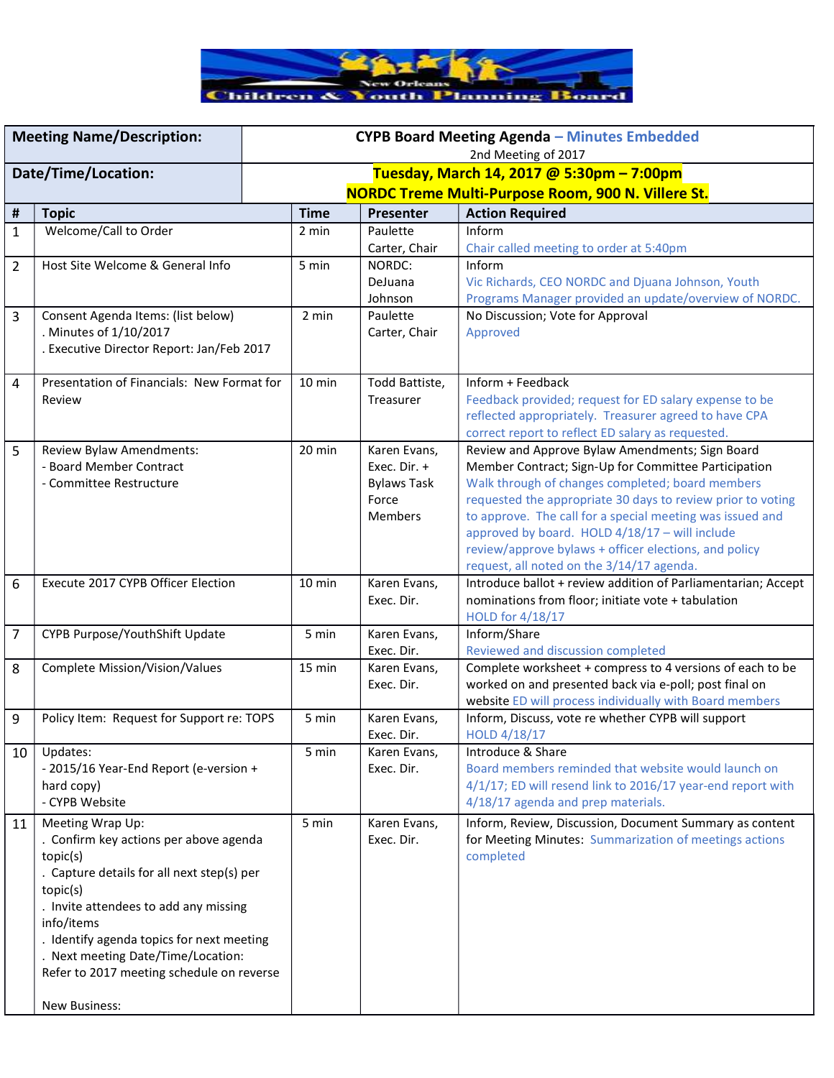

|                     | <b>Meeting Name/Description:</b>           | CYPB Board Meeting Agenda - Minutes Embedded              |                  |                            |                                                                                                               |  |
|---------------------|--------------------------------------------|-----------------------------------------------------------|------------------|----------------------------|---------------------------------------------------------------------------------------------------------------|--|
|                     |                                            | 2nd Meeting of 2017                                       |                  |                            |                                                                                                               |  |
| Date/Time/Location: |                                            | Tuesday, March 14, 2017 @ 5:30pm - 7:00pm                 |                  |                            |                                                                                                               |  |
|                     |                                            | <b>NORDC Treme Multi-Purpose Room, 900 N. Villere St.</b> |                  |                            |                                                                                                               |  |
| Ħ                   | <b>Topic</b>                               |                                                           | <b>Time</b>      | Presenter                  | <b>Action Required</b>                                                                                        |  |
| $\mathbf{1}$        | Welcome/Call to Order                      | 2 min                                                     |                  | Paulette                   | Inform                                                                                                        |  |
|                     |                                            |                                                           |                  | Carter, Chair              | Chair called meeting to order at 5:40pm                                                                       |  |
| $\overline{2}$      | Host Site Welcome & General Info           | 5 min                                                     |                  | NORDC:                     | Inform                                                                                                        |  |
|                     |                                            |                                                           |                  | DeJuana                    | Vic Richards, CEO NORDC and Djuana Johnson, Youth                                                             |  |
|                     |                                            |                                                           |                  | Johnson                    | Programs Manager provided an update/overview of NORDC.                                                        |  |
| 3                   | Consent Agenda Items: (list below)         |                                                           | 2 min            | Paulette                   | No Discussion; Vote for Approval                                                                              |  |
|                     | . Minutes of 1/10/2017                     |                                                           |                  | Carter, Chair              | Approved                                                                                                      |  |
|                     | . Executive Director Report: Jan/Feb 2017  |                                                           |                  |                            |                                                                                                               |  |
| 4                   | Presentation of Financials: New Format for |                                                           | $10 \text{ min}$ | Todd Battiste,             | Inform + Feedback                                                                                             |  |
|                     | Review                                     |                                                           |                  | Treasurer                  | Feedback provided; request for ED salary expense to be                                                        |  |
|                     |                                            |                                                           |                  |                            | reflected appropriately. Treasurer agreed to have CPA                                                         |  |
|                     |                                            |                                                           |                  |                            | correct report to reflect ED salary as requested.                                                             |  |
| 5                   | Review Bylaw Amendments:                   |                                                           | $20$ min         | Karen Evans,               | Review and Approve Bylaw Amendments; Sign Board                                                               |  |
|                     | - Board Member Contract                    |                                                           |                  | Exec. Dir. +               | Member Contract; Sign-Up for Committee Participation                                                          |  |
|                     | - Committee Restructure                    |                                                           |                  | <b>Bylaws Task</b>         | Walk through of changes completed; board members                                                              |  |
|                     |                                            |                                                           |                  | Force                      | requested the appropriate 30 days to review prior to voting                                                   |  |
|                     |                                            |                                                           |                  | <b>Members</b>             | to approve. The call for a special meeting was issued and                                                     |  |
|                     |                                            |                                                           |                  |                            | approved by board. HOLD 4/18/17 - will include                                                                |  |
|                     |                                            |                                                           |                  |                            | review/approve bylaws + officer elections, and policy                                                         |  |
|                     |                                            |                                                           |                  |                            | request, all noted on the 3/14/17 agenda.                                                                     |  |
| 6                   | Execute 2017 CYPB Officer Election         |                                                           | 10 min           | Karen Evans,               | Introduce ballot + review addition of Parliamentarian; Accept                                                 |  |
|                     |                                            |                                                           |                  | Exec. Dir.                 | nominations from floor; initiate vote + tabulation                                                            |  |
|                     |                                            |                                                           |                  |                            | HOLD for 4/18/17                                                                                              |  |
| $\overline{7}$      | CYPB Purpose/YouthShift Update             |                                                           | 5 min            | Karen Evans,               | Inform/Share                                                                                                  |  |
|                     |                                            |                                                           |                  | Exec. Dir.                 | Reviewed and discussion completed                                                                             |  |
| 8                   | Complete Mission/Vision/Values             |                                                           | 15 min           | Karen Evans,               | Complete worksheet + compress to 4 versions of each to be                                                     |  |
|                     |                                            |                                                           |                  | Exec. Dir.                 | worked on and presented back via e-poll; post final on                                                        |  |
|                     |                                            |                                                           | 5 min            |                            | website ED will process individually with Board members<br>Inform, Discuss, vote re whether CYPB will support |  |
| 9                   | Policy Item: Request for Support re: TOPS  |                                                           |                  | Karen Evans,<br>Exec. Dir. | HOLD 4/18/17                                                                                                  |  |
| 10                  | Updates:                                   |                                                           | 5 min            | Karen Evans,               | Introduce & Share                                                                                             |  |
|                     | - 2015/16 Year-End Report (e-version +     |                                                           |                  | Exec. Dir.                 | Board members reminded that website would launch on                                                           |  |
|                     | hard copy)                                 |                                                           |                  |                            | 4/1/17; ED will resend link to 2016/17 year-end report with                                                   |  |
|                     | - CYPB Website                             |                                                           |                  |                            | 4/18/17 agenda and prep materials.                                                                            |  |
| 11                  | Meeting Wrap Up:                           |                                                           | 5 min            | Karen Evans,               | Inform, Review, Discussion, Document Summary as content                                                       |  |
|                     | . Confirm key actions per above agenda     |                                                           |                  | Exec. Dir.                 | for Meeting Minutes: Summarization of meetings actions                                                        |  |
|                     | topic(s)                                   |                                                           |                  |                            | completed                                                                                                     |  |
|                     | . Capture details for all next step(s) per |                                                           |                  |                            |                                                                                                               |  |
|                     | topic(s)                                   |                                                           |                  |                            |                                                                                                               |  |
|                     | . Invite attendees to add any missing      |                                                           |                  |                            |                                                                                                               |  |
|                     | info/items                                 |                                                           |                  |                            |                                                                                                               |  |
|                     | . Identify agenda topics for next meeting  |                                                           |                  |                            |                                                                                                               |  |
|                     | . Next meeting Date/Time/Location:         |                                                           |                  |                            |                                                                                                               |  |
|                     | Refer to 2017 meeting schedule on reverse  |                                                           |                  |                            |                                                                                                               |  |
|                     |                                            |                                                           |                  |                            |                                                                                                               |  |
|                     | New Business:                              |                                                           |                  |                            |                                                                                                               |  |